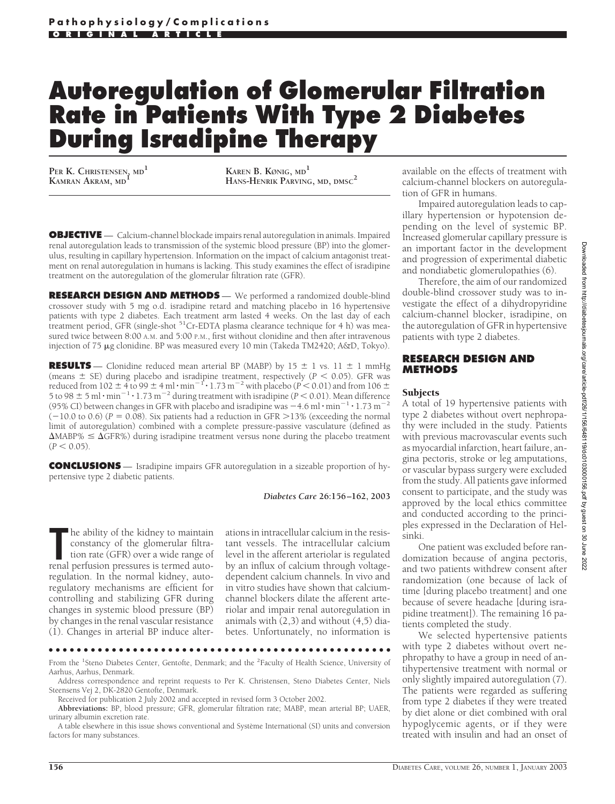# **Autoregulation of Glomerular Filtration Rate in Patients With Type 2 Diabetes During Isradipine Therapy**

**PER K. CHRISTENSEN, MD<sup>1</sup>**

**KAMRAN AKRAM, MD<sup>1</sup> KAREN B. KØNIG, MD<sup>1</sup> HANS-HENRIK PARVING, MD, DMSC<sup>2</sup>**

**OBJECTIVE** — Calcium-channel blockade impairs renal autoregulation in animals. Impaired renal autoregulation leads to transmission of the systemic blood pressure (BP) into the glomerulus, resulting in capillary hypertension. Information on the impact of calcium antagonist treatment on renal autoregulation in humans is lacking. This study examines the effect of isradipine treatment on the autoregulation of the glomerular filtration rate (GFR).

**RESEARCH DESIGN AND METHODS** — We performed a randomized double-blind crossover study with 5 mg o.d. isradipine retard and matching placebo in 16 hypertensive patients with type 2 diabetes. Each treatment arm lasted 4 weeks. On the last day of each treatment period, GFR (single-shot  $51Cr$ -EDTA plasma clearance technique for 4 h) was measured twice between 8:00 A.M. and 5:00 P.M., first without clonidine and then after intravenous injection of 75 µg clonidine. BP was measured every 10 min (Takeda TM2420; A&D, Tokyo).

**RESULTS** — Clonidine reduced mean arterial BP (MABP) by  $15 \pm 1$  vs.  $11 \pm 1$  mmHg (means  $\pm$  SE) during placebo and isradipine treatment, respectively ( $P \le 0.05$ ). GFR was reduced from 102  $\pm$  4 to 99  $\pm$  4 ml·min<sup>-1</sup>·1.73 m<sup>-2</sup> with placebo (*P* < 0.01) and from 106  $\pm$ 5 to 98  $\pm$  5 ml·min<sup>-1</sup>·1.73 m<sup>-2</sup> during treatment with isradipine ( $\dot{P}$  < 0.01). Mean difference (95% CI) between changes in GFR with placebo and isradipine was  $-4.6$  ml $\cdot$ min $^{-1}$  $\cdot$ 1.73 m<sup>-2</sup>  $(-10.0 \text{ to } 0.6)$  (*P* = 0.08). Six patients had a reduction in GFR > 13% (exceeding the normal limit of autoregulation) combined with a complete pressure-passive vasculature (defined as  $\Delta$ MABP%  $\leq \Delta$ GFR%) during isradipine treatment versus none during the placebo treatment  $(P < 0.05)$ .

**CONCLUSIONS** — Isradipine impairs GFR autoregulation in a sizeable proportion of hypertensive type 2 diabetic patients.

#### *Diabetes Care* **26:156–162, 2003**

**The ability of the kidney to maintain constancy of the glomerular filtration rate (GFR) over a wide range of renal perfusion pressures is termed auto**he ability of the kidney to maintain constancy of the glomerular filtration rate (GFR) over a wide range of regulation. In the normal kidney, autoregulatory mechanisms are efficient for controlling and stabilizing GFR during changes in systemic blood pressure (BP) by changes in the renal vascular resistance (1). Changes in arterial BP induce alter-

●●●●●●●●●●●●●●●●●●●●●●●●●●●●●●●●●●●●●●●●●●●●●●●●●

ations in intracellular calcium in the resistant vessels. The intracellular calcium level in the afferent arteriolar is regulated by an influx of calcium through voltagedependent calcium channels. In vivo and in vitro studies have shown that calciumchannel blockers dilate the afferent arteriolar and impair renal autoregulation in animals with (2,3) and without (4,5) diabetes. Unfortunately, no information is

available on the effects of treatment with calcium-channel blockers on autoregulation of GFR in humans.

Impaired autoregulation leads to capillary hypertension or hypotension depending on the level of systemic BP. Increased glomerular capillary pressure is an important factor in the development and progression of experimental diabetic and nondiabetic glomerulopathies (6).

Therefore, the aim of our randomized double-blind crossover study was to investigate the effect of a dihydropyridine calcium-channel blocker, isradipine, on the autoregulation of GFR in hypertensive patients with type 2 diabetes.

## **RESEARCH DESIGN AND METHODS**

## **Subjects**

A total of 19 hypertensive patients with type 2 diabetes without overt nephropathy were included in the study. Patients with previous macrovascular events such as myocardial infarction, heart failure, angina pectoris, stroke or leg amputations, or vascular bypass surgery were excluded from the study. All patients gave informed consent to participate, and the study was approved by the local ethics committee and conducted according to the principles expressed in the Declaration of Helsinki.

One patient was excluded before randomization because of angina pectoris, and two patients withdrew consent after randomization (one because of lack of time [during placebo treatment] and one because of severe headache [during israpidine treatment]). The remaining 16 patients completed the study.

We selected hypertensive patients with type 2 diabetes without overt nephropathy to have a group in need of antihypertensive treatment with normal or only slightly impaired autoregulation (7). The patients were regarded as suffering from type 2 diabetes if they were treated by diet alone or diet combined with oral hypoglycemic agents, or if they were treated with insulin and had an onset of

From the <sup>1</sup>Steno Diabetes Center, Gentofte, Denmark; and the <sup>2</sup>Faculty of Health Science, University of Aarhus, Aarhus, Denmark.

Address correspondence and reprint requests to Per K. Christensen, Steno Diabetes Center, Niels Steensens Vej 2, DK-2820 Gentofte, Denmark.

Received for publication 2 July 2002 and accepted in revised form 3 October 2002.

**Abbreviations:** BP, blood pressure; GFR, glomerular filtration rate; MABP, mean arterial BP; UAER, urinary albumin excretion rate.

A table elsewhere in this issue shows conventional and Système International (SI) units and conversion factors for many substances.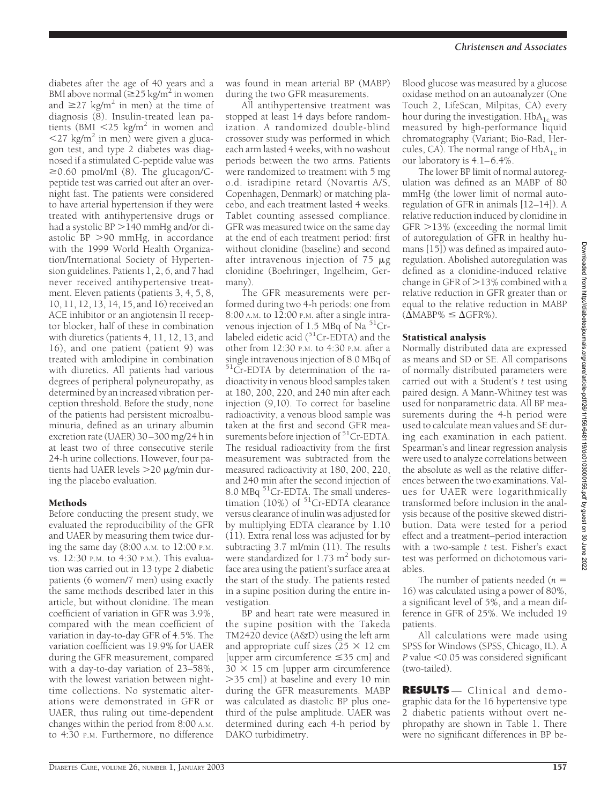diabetes after the age of 40 years and a BMI above normal ( $\geq$ 25 kg/m<sup>2</sup> in women and  $\geq$ 27 kg/m<sup>2</sup> in men) at the time of diagnosis (8). Insulin-treated lean patients (BMI  $\langle 25 \text{ kg/m}^2 \rangle$  in women and  $\langle 27 \text{ kg/m}^2 \rangle$  in men) were given a glucagon test, and type 2 diabetes was diagnosed if a stimulated C-peptide value was  $\geq$ 0.60 pmol/ml (8). The glucagon/Cpeptide test was carried out after an overnight fast. The patients were considered to have arterial hypertension if they were treated with antihypertensive drugs or had a systolic  $BP > 140$  mmHg and/or diastolic BP 90 mmHg, in accordance with the 1999 World Health Organization/International Society of Hypertension guidelines. Patients 1, 2, 6, and 7 had never received antihypertensive treatment. Eleven patients (patients 3, 4, 5, 8, 10, 11, 12, 13, 14, 15, and 16) received an ACE inhibitor or an angiotensin II receptor blocker, half of these in combination with diuretics (patients 4, 11, 12, 13, and 16), and one patient (patient 9) was treated with amlodipine in combination with diuretics. All patients had various degrees of peripheral polyneuropathy, as determined by an increased vibration perception threshold. Before the study, none of the patients had persistent microalbuminuria, defined as an urinary albumin excretion rate (UAER) 30–300 mg/24 h in at least two of three consecutive sterile 24-h urine collections. However, four patients had UAER levels  $>$ 20  $\mu$ g/min during the placebo evaluation.

# Methods

Before conducting the present study, we evaluated the reproducibility of the GFR and UAER by measuring them twice during the same day (8:00 A.M. to 12:00 P.M. vs. 12:30 P.M. to 4:30 P.M.). This evaluation was carried out in 13 type 2 diabetic patients (6 women/7 men) using exactly the same methods described later in this article, but without clonidine. The mean coefficient of variation in GFR was 3.9%, compared with the mean coefficient of variation in day-to-day GFR of 4.5%. The variation coefficient was 19.9% for UAER during the GFR measurement, compared with a day-to-day variation of 23–58%, with the lowest variation between nighttime collections. No systematic alterations were demonstrated in GFR or UAER, thus ruling out time-dependent changes within the period from 8:00 A.M. to 4:30 P.M. Furthermore, no difference

was found in mean arterial BP (MABP) during the two GFR measurements.

All antihypertensive treatment was stopped at least 14 days before randomization. A randomized double-blind crossover study was performed in which each arm lasted 4 weeks, with no washout periods between the two arms. Patients were randomized to treatment with 5 mg o.d. isradipine retard (Novartis A/S, Copenhagen, Denmark) or matching placebo, and each treatment lasted 4 weeks. Tablet counting assessed compliance. GFR was measured twice on the same day at the end of each treatment period: first without clonidine (baseline) and second after intravenous injection of  $75 \mu g$ clonidine (Boehringer, Ingelheim, Germany).

The GFR measurements were performed during two 4-h periods: one from 8:00 A.M. to 12:00 P.M. after a single intravenous injection of 1.5 MBq of Na $51$ Crlabeled eidetic acid  $(^{51}Cr$ -EDTA) and the other from 12:30 P.M. to 4:30 P.M. after a single intravenous injection of 8.0 MBq of <sup>51</sup>Cr-EDTA by determination of the radioactivity in venous blood samples taken at 180, 200, 220, and 240 min after each injection (9,10). To correct for baseline radioactivity, a venous blood sample was taken at the first and second GFR measurements before injection of  $51Cr$ -EDTA. The residual radioactivity from the first measurement was subtracted from the measured radioactivity at 180, 200, 220, and 240 min after the second injection of 8.0 MBq <sup>51</sup>Cr-EDTA. The small underestimation (10%) of <sup>51</sup>Cr-EDTA clearance versus clearance of inulin was adjusted for by multiplying EDTA clearance by 1.10 (11). Extra renal loss was adjusted for by subtracting 3.7 ml/min (11). The results were standardized for  $1.73$  m<sup>2</sup> body surface area using the patient's surface area at the start of the study. The patients rested in a supine position during the entire investigation.

BP and heart rate were measured in the supine position with the Takeda TM2420 device (A&D) using the left arm and appropriate cuff sizes ( $25 \times 12$  cm [upper arm circumference 35 cm] and  $30 \times 15$  cm [upper arm circumference 35 cm]) at baseline and every 10 min during the GFR measurements. MABP was calculated as diastolic BP plus onethird of the pulse amplitude. UAER was determined during each 4-h period by DAKO turbidimetry.

Blood glucose was measured by a glucose oxidase method on an autoanalyzer (One Touch 2, LifeScan, Milpitas, CA) every hour during the investigation.  $HbA_{1c}$  was measured by high-performance liquid chromatography (Variant; Bio-Rad, Hercules, CA). The normal range of  $HbA_{1c}$  in our laboratory is 4.1–6.4%.

The lower BP limit of normal autoregulation was defined as an MABP of 80 mmHg (the lower limit of normal autoregulation of GFR in animals [12–14]). A relative reduction induced by clonidine in  $GFR > 13\%$  (exceeding the normal limit of autoregulation of GFR in healthy humans [15]) was defined as impaired autoregulation. Abolished autoregulation was defined as a clonidine-induced relative change in GFR of  $>$  13% combined with a relative reduction in GFR greater than or equal to the relative reduction in MABP  $(\Delta MABP\% \leq \Delta GFR\%).$ 

## Statistical analysis

Normally distributed data are expressed as means and SD or SE. All comparisons of normally distributed parameters were carried out with a Student's *t* test using paired design. A Mann-Whitney test was used for nonparametric data. All BP measurements during the 4-h period were used to calculate mean values and SE during each examination in each patient. Spearman's and linear regression analysis were used to analyze correlations between the absolute as well as the relative differences between the two examinations. Values for UAER were logarithmically transformed before inclusion in the analysis because of the positive skewed distribution. Data were tested for a period effect and a treatment–period interaction with a two-sample *t* test. Fisher's exact test was performed on dichotomous variables.

The number of patients needed (*n* 16) was calculated using a power of 80%, a significant level of 5%, and a mean difference in GFR of 25%. We included 19 patients.

All calculations were made using SPSS for Windows (SPSS, Chicago, IL). A *P* value <0.05 was considered significant (two-tailed).

**RESULTS** — Clinical and demographic data for the 16 hypertensive type 2 diabetic patients without overt nephropathy are shown in Table 1. There were no significant differences in BP be-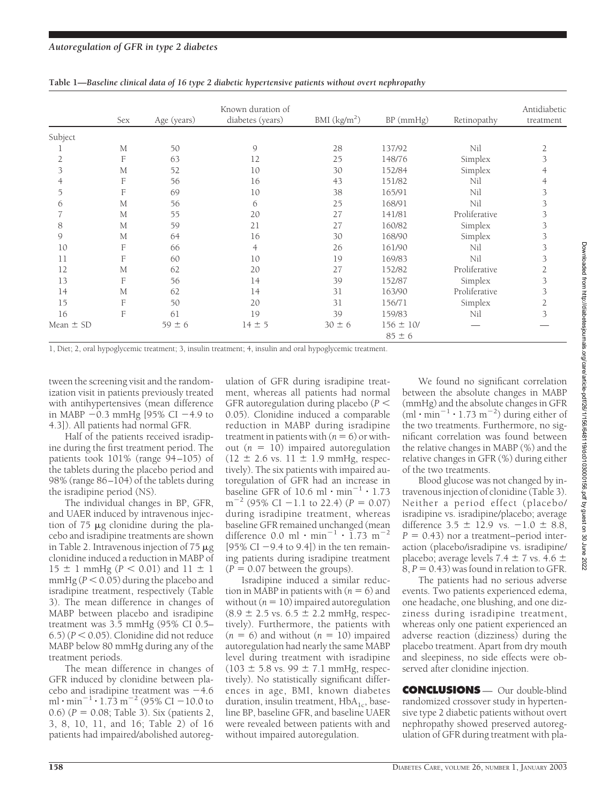|               | Sex | Age (years) | Known duration of<br>diabetes (years) | BMI $(kg/m2)$ | $BP$ (mmHg)                 | Retinopathy   | Antidiabetic<br>treatment |
|---------------|-----|-------------|---------------------------------------|---------------|-----------------------------|---------------|---------------------------|
| Subject       |     |             |                                       |               |                             |               |                           |
|               | M   | 50          | 9                                     | 28            | 137/92                      | Nil           |                           |
|               | F   | 63          | 12                                    | 25            | 148/76                      | Simplex       |                           |
|               | М   | 52          | 10                                    | 30            | 152/84                      | Simplex       |                           |
|               | F   | 56          | 16                                    | 43            | 151/82                      | Nil           |                           |
|               | F   | 69          | 10                                    | 38            | 165/91                      | Nil           |                           |
| 6             | M   | 56          | 6                                     | 25            | 168/91                      | Nil           |                           |
|               | M   | 55          | 20                                    | 27            | 141/81                      | Proliferative |                           |
| 8             | M   | 59          | 21                                    | 27            | 160/82                      | Simplex       | 3                         |
| $\mathcal{Q}$ | M   | 64          | 16                                    | 30            | 168/90                      | Simplex       | 3                         |
| 10            | F   | 66          | 4                                     | 26            | 161/90                      | Nil           |                           |
| 11            | F   | 60          | 10                                    | 19            | 169/83                      | Nil           |                           |
| 12            | M   | 62          | 20                                    | 27            | 152/82                      | Proliferative |                           |
| 13            | F   | 56          | 14                                    | 39            | 152/87                      | Simplex       | 3                         |
| 14            | M   | 62          | 14                                    | 31            | 163/90                      | Proliferative |                           |
| 15            | F   | 50          | 20                                    | 31            | 156/71                      | Simplex       |                           |
| 16            | F   | 61          | 19                                    | 39            | 159/83                      | Nil           | 3                         |
| Mean $\pm$ SD |     | $59 \pm 6$  | $14 \pm 5$                            | $30 \pm 6$    | $156 \pm 10/$<br>$85 \pm 6$ |               |                           |

**Table 1—***Baseline clinical data of 16 type 2 diabetic hypertensive patients without overt nephropathy*

1, Diet; 2, oral hypoglycemic treatment; 3, insulin treatment; 4, insulin and oral hypoglycemic treatment.

tween the screening visit and the randomization visit in patients previously treated with antihypertensives (mean difference in MABP  $-0.3$  mmHg [95% CI  $-4.9$  to 4.3]). All patients had normal GFR.

Half of the patients received isradipine during the first treatment period. The patients took 101% (range 94–105) of the tablets during the placebo period and 98% (range 86–104) of the tablets during the isradipine period (NS).

The individual changes in BP, GFR, and UAER induced by intravenous injection of  $75 \mu$ g clonidine during the placebo and isradipine treatments are shown in Table 2. Intravenous injection of  $75 \mu g$ clonidine induced a reduction in MABP of  $15 \pm 1$  mmHg ( $P < 0.01$ ) and  $11 \pm 1$ mmHg ( $P < 0.05$ ) during the placebo and isradipine treatment, respectively (Table 3). The mean difference in changes of MABP between placebo and isradipine treatment was 3.5 mmHg (95% CI 0.5–  $(6.5)$   $(P < 0.05)$ . Clonidine did not reduce MABP below 80 mmHg during any of the treatment periods.

The mean difference in changes of GFR induced by clonidine between placebo and isradipine treatment was  $-4.6$ ml  $\cdot$  min<sup>-1</sup>  $\cdot$  1.73 m<sup>-2</sup> (95% CI -10.0 to 0.6) (*P* = 0.08; Table 3). Six (patients 2, 3, 8, 10, 11, and 16; Table 2) of 16 patients had impaired/abolished autoreg-

ulation of GFR during isradipine treatment, whereas all patients had normal GFR autoregulation during placebo (*P* 0.05). Clonidine induced a comparable reduction in MABP during isradipine treatment in patients with  $(n = 6)$  or without  $(n = 10)$  impaired autoregulation  $(12 \pm 2.6 \text{ vs. } 11 \pm 1.9 \text{ mmHg, respec-}$ tively). The six patients with impaired autoregulation of GFR had an increase in baseline GFR of 10.6 ml  $\cdot$  min<sup>-1</sup>  $\cdot$  1.73  $m^{-2}$  (95% CI -1.1 to 22.4) (*P* = 0.07) during isradipine treatment, whereas baseline GFR remained unchanged (mean difference 0.0 ml  $\cdot$  min<sup>-1</sup>  $\cdot$  1.73 m<sup>-2</sup> [95% CI  $-9.4$  to 9.4]) in the ten remaining patients during isradipine treatment  $(P = 0.07$  between the groups).

Isradipine induced a similar reduction in MABP in patients with  $(n = 6)$  and without  $(n = 10)$  impaired autoregulation  $(8.9 \pm 2.5 \text{ vs. } 6.5 \pm 2.2 \text{ mmHg, respec-}$ tively). Furthermore, the patients with  $(n = 6)$  and without  $(n = 10)$  impaired autoregulation had nearly the same MABP level during treatment with isradipine  $(103 \pm 5.8 \text{ vs. } 99 \pm 7.1 \text{ mmHg, respec-}$ tively). No statistically significant differences in age, BMI, known diabetes duration, insulin treatment,  $HbA<sub>1c</sub>$ , baseline BP, baseline GFR, and baseline UAER were revealed between patients with and without impaired autoregulation.

We found no significant correlation between the absolute changes in MABP (mmHg) and the absolute changes in GFR  $(\text{ml}\cdot \text{min}^{-1}\cdot 1.73 \text{ m}^{-2})$  during either of the two treatments. Furthermore, no significant correlation was found between the relative changes in MABP (%) and the relative changes in GFR (%) during either of the two treatments.

Blood glucose was not changed by intravenous injection of clonidine (Table 3). Neither a period effect (placebo/ isradipine vs. isradipine/placebo; average difference  $3.5 \pm 12.9$  vs.  $-1.0 \pm 8.8$ ,  $P = 0.43$ ) nor a treatment–period interaction (placebo/isradipine vs. isradipine/ placebo; average levels 7.4  $\pm$  7 vs. 4.6  $\pm$  $8, P = 0.43$ ) was found in relation to GFR.

The patients had no serious adverse events. Two patients experienced edema, one headache, one blushing, and one dizziness during isradipine treatment, whereas only one patient experienced an adverse reaction (dizziness) during the placebo treatment. Apart from dry mouth and sleepiness, no side effects were observed after clonidine injection.

**CONCLUSIONS** — Our double-blind randomized crossover study in hypertensive type 2 diabetic patients without overt nephropathy showed preserved autoregulation of GFR during treatment with pla-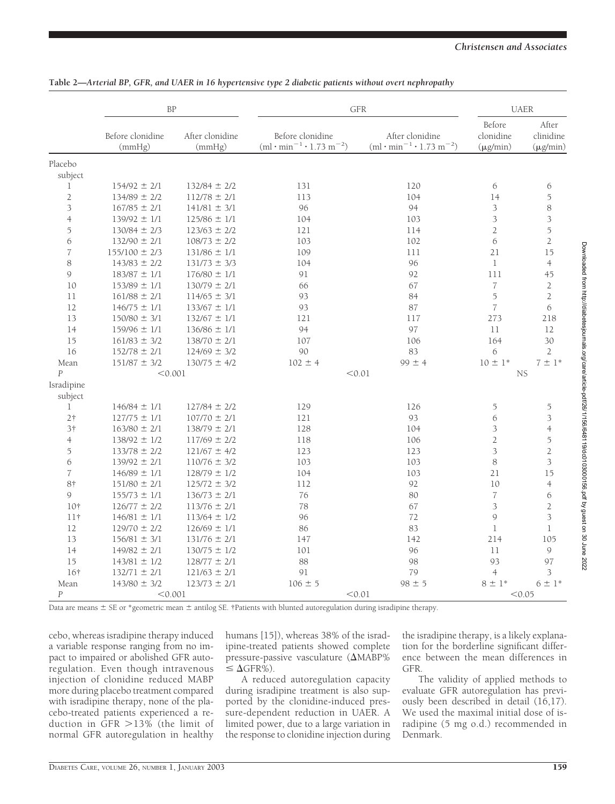|                    | <b>BP</b>                  |                           | <b>GFR</b>                                                          | <b>UAER</b>                                                        |                                      |                                     |
|--------------------|----------------------------|---------------------------|---------------------------------------------------------------------|--------------------------------------------------------------------|--------------------------------------|-------------------------------------|
|                    | Before clonidine<br>(mmHg) | After clonidine<br>(mmHg) | Before clonidine<br>$(ml \cdot min^{-1} \cdot 1.73 \text{ m}^{-2})$ | After clonidine<br>$(ml \cdot min^{-1} \cdot 1.73 \text{ m}^{-2})$ | Before<br>clonidine<br>$(\mu g/min)$ | After<br>clinidine<br>$(\mu g/min)$ |
| Placebo<br>subject |                            |                           |                                                                     |                                                                    |                                      |                                     |
| 1                  | $154/92 \pm 2/1$           | $132/84 \pm 2/2$          | 131                                                                 | 120                                                                | 6                                    | 6                                   |
| $\overline{2}$     | $134/89 \pm 2/2$           | $112/78 \pm 2/1$          | 113                                                                 | 104                                                                | 14                                   | 5                                   |
| 3                  | $167/85 \pm 2/1$           | $141/81 \pm 3/1$          | 96                                                                  | 94                                                                 | 3                                    | 8                                   |
| $\overline{4}$     | $139/92 \pm 1/1$           | $125/86 \pm 1/1$          | 104                                                                 | 103                                                                | 3                                    | 3                                   |
| 5                  | $130/84 \pm 2/3$           | $123/63 \pm 2/2$          | 121                                                                 | 114                                                                | $\overline{2}$                       | 5                                   |
| 6                  | $132/90 \pm 2/1$           | $108/73 \pm 2/2$          | 103                                                                 | 102                                                                | 6                                    | $\overline{2}$                      |
| $\overline{7}$     | $155/100 \pm 2/3$          | $131/86 \pm 1/1$          | 109                                                                 | 111                                                                | 21                                   | 15                                  |
| 8                  | $143/83 \pm 2/2$           | $131/73 \pm 3/3$          | 104                                                                 | 96                                                                 | $\mathbf 1$                          | $\overline{4}$                      |
| 9                  | $183/87 \pm 1/1$           | $176/80 \pm 1/1$          | 91                                                                  | 92                                                                 | 111                                  | 45                                  |
| 10                 | $153/89 \pm 1/1$           | $130/79 \pm 2/1$          | 66                                                                  | 67                                                                 | $\overline{7}$                       | $\overline{2}$                      |
| 11                 | $161/88 \pm 2/1$           | $114/65 \pm 3/1$          | 93                                                                  | 84                                                                 | 5                                    | $\overline{2}$                      |
| 12                 | $146/75 \pm 1/1$           | $133/67 \pm 1/1$          | 93                                                                  | 87                                                                 | $\overline{7}$                       | 6                                   |
| 13                 | $150/80 \pm 3/1$           | $132/67 \pm 1/1$          | 121                                                                 | 117                                                                | 273                                  | 218                                 |
| 14                 | $159/96 \pm 1/1$           | $136/86 \pm 1/1$          | 94                                                                  | 97                                                                 | 11                                   | 12                                  |
| 15                 | $161/83 \pm 3/2$           | $138/70 \pm 2/1$          | 107                                                                 | 106                                                                | 164                                  | 30                                  |
| 16                 | $152/78 \pm 2/1$           | $124/69 \pm 3/2$          | 90                                                                  | 83                                                                 | 6                                    | $\mathbf{2}$                        |
| Mean               | $151/87 \pm 3/2$           | $130/75 \pm 4/2$          | $102 \pm 4$                                                         | $99 \pm 4$                                                         | $10 \pm 1*$                          | $7 \pm 1*$                          |
| $\overline{P}$     | < 0.001                    |                           | < 0.01                                                              |                                                                    | <b>NS</b>                            |                                     |
| Isradipine         |                            |                           |                                                                     |                                                                    |                                      |                                     |
| subject            |                            |                           |                                                                     |                                                                    |                                      |                                     |
| $\mathbf{1}$       | $146/84 \pm 1/1$           | $127/84 \pm 2/2$          | 129                                                                 | 126                                                                | 5                                    | $\overline{5}$                      |
| 2 <sup>†</sup>     | $127/75 \pm 1/1$           | $107/70 \pm 2/1$          | 121                                                                 | 93                                                                 | 6                                    | 3                                   |
| 3†                 | $163/80 \pm 2/1$           | $138/79 \pm 2/1$          | 128                                                                 | 104                                                                | 3                                    | $\overline{4}$                      |
| $\overline{4}$     | $138/92 \pm 1/2$           | $117/69 \pm 2/2$          | 118                                                                 | 106                                                                | $\overline{2}$                       | 5                                   |
| 5                  | $133/78 \pm 2/2$           | $121/67 \pm 4/2$          | 123                                                                 | 123                                                                | 3                                    | $\overline{2}$                      |
| 6                  | $139/92 \pm 2/1$           | $110/76 \pm 3/2$          | 103                                                                 | 103                                                                | $\,8\,$                              | $\overline{3}$                      |
| $\overline{7}$     | $146/89 \pm 1/1$           | $128/79 \pm 1/2$          | 104                                                                 | 103                                                                | 21                                   | 15                                  |
| 8†                 | $151/80 \pm 2/1$           | $125/72 \pm 3/2$          | 112                                                                 | 92                                                                 | 10                                   | $\overline{4}$                      |
| 9                  | $155/73 \pm 1/1$           | $136/73 \pm 2/1$          | 76                                                                  | 80                                                                 | $\boldsymbol{7}$                     | 6                                   |
| 10†                | $126/77 \pm 2/2$           | $113/76 \pm 2/1$          | 78                                                                  | 67                                                                 | 3                                    | $\overline{2}$                      |
| 11 <sup>†</sup>    | $146/81 \pm 1/1$           | $113/64 \pm 1/2$          | 96                                                                  | 72                                                                 | $\mathcal{G}$                        | 3                                   |
| 12                 | $129/70 \pm 2/2$           | $126/69 \pm 1/1$          | 86                                                                  | 83                                                                 | $\mathbf 1$                          | $\mathbf{1}$                        |
| 13                 | $156/81 \pm 3/1$           | $131/76 \pm 2/1$          | 147                                                                 | 142                                                                | 214                                  | 105                                 |
| 14                 | $149/82 \pm 2/1$           | $130/75 \pm 1/2$          | 101                                                                 | 96                                                                 | 11                                   | 9                                   |
| 15                 | $143/81 \pm 1/2$           | $128/77 \pm 2/1$          | 88                                                                  | 98                                                                 | 93                                   | 97                                  |
| 16†                | $132/71 \pm 2/1$           | $121/63 \pm 2/1$          | 91                                                                  | 79                                                                 | $\overline{4}$                       | 3                                   |
| Mean               | $143/80 \pm 3/2$           | $123/73 \pm 2/1$          | $106 \pm 5$                                                         | $98 \pm 5$                                                         | $8 \pm 1^*$                          | $6 \pm 1*$                          |
| $\overline{P}$     | < 0.001                    |                           | < 0.01                                                              |                                                                    |                                      | < 0.05                              |

Data are means  $\pm$  SE or \*geometric mean  $\pm$  antilog SE. †Patients with blunted autoregulation during isradipine therapy.

cebo, whereas isradipine therapy induced a variable response ranging from no impact to impaired or abolished GFR autoregulation. Even though intravenous injection of clonidine reduced MABP more during placebo treatment compared with isradipine therapy, none of the placebo-treated patients experienced a reduction in  $\overline{GFR} > 13\%$  (the limit of normal GFR autoregulation in healthy

humans [15]), whereas 38% of the isradipine-treated patients showed complete pressure-passive vasculature  $(\Delta MABP\%$  $\leq \Delta$ GFR%).

A reduced autoregulation capacity during isradipine treatment is also supported by the clonidine-induced pressure-dependent reduction in UAER. A limited power, due to a large variation in the response to clonidine injection during the isradipine therapy, is a likely explanation for the borderline significant difference between the mean differences in GFR.

The validity of applied methods to evaluate GFR autoregulation has previously been described in detail (16,17). We used the maximal initial dose of isradipine (5 mg o.d.) recommended in Denmark.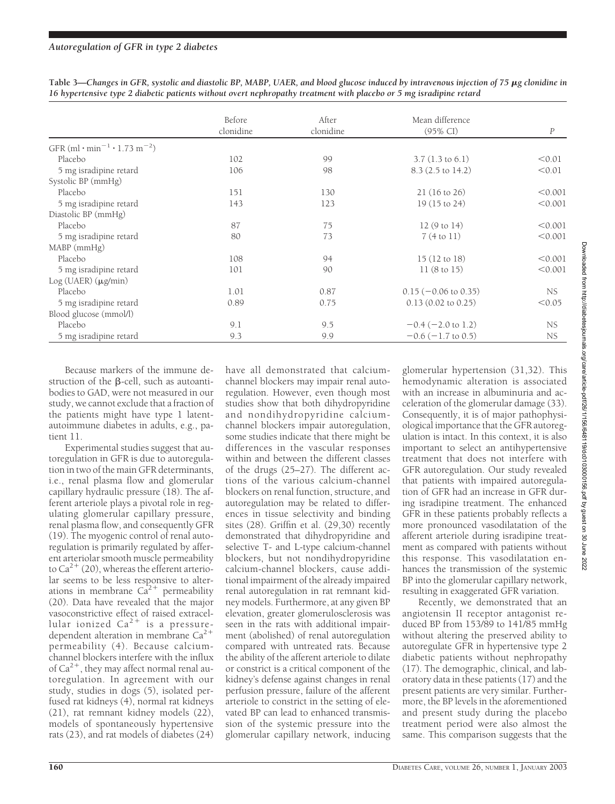|                                                                  | Before    | After     | Mean difference                 |                  |
|------------------------------------------------------------------|-----------|-----------|---------------------------------|------------------|
|                                                                  | clonidine | clonidine | $(95\% \text{ CI})$             | $\boldsymbol{P}$ |
| GFR (ml $\cdot$ min <sup>-1</sup> $\cdot$ 1.73 m <sup>-2</sup> ) |           |           |                                 |                  |
| Placebo                                                          | 102       | 99        | $3.7(1.3 \text{ to } 6.1)$      | < 0.01           |
| 5 mg isradipine retard                                           | 106       | 98        | 8.3 (2.5 to 14.2)               | < 0.01           |
| Systolic BP (mmHg)                                               |           |           |                                 |                  |
| Placebo                                                          | 151       | 130       | $21(16 \text{ to } 26)$         | < 0.001          |
| 5 mg isradipine retard                                           | 143       | 123       | 19 (15 to 24)                   | < 0.001          |
| Diastolic BP (mmHg)                                              |           |           |                                 |                  |
| Placebo                                                          | 87        | 75        | 12(9 to 14)                     | < 0.001          |
| 5 mg isradipine retard                                           | 80        | 73        | 7(4 to 11)                      | < 0.001          |
| MABP (mmHg)                                                      |           |           |                                 |                  |
| Placebo                                                          | 108       | 94        | 15 (12 to 18)                   | < 0.001          |
| 5 mg isradipine retard                                           | 101       | 90        | 11(8 to 15)                     | < 0.001          |
| $Log$ (UAER) ( $\mu$ g/min)                                      |           |           |                                 |                  |
| Placebo                                                          | 1.01      | 0.87      | $0.15 (-0.06 \text{ to } 0.35)$ | NS.              |
| 5 mg isradipine retard                                           | 0.89      | 0.75      | $0.13$ $(0.02$ to $0.25)$       | < 0.05           |
| Blood glucose (mmol/l)                                           |           |           |                                 |                  |
| Placebo                                                          | 9.1       | 9.5       | $-0.4$ ( $-2.0$ to 1.2)         | NS.              |
| 5 mg isradipine retard                                           | 9.3       | 9.9       | $-0.6$ ( $-1.7$ to 0.5)         | NS.              |

Table 3—Changes in GFR, systolic and diastolic BP, MABP, UAER, and blood glucose induced by intravenous injection of 75  $\mu$ g clonidine in *16 hypertensive type 2 diabetic patients without overt nephropathy treatment with placebo or 5 mg isradipine retard*

Because markers of the immune destruction of the  $\beta$ -cell, such as autoantibodies to GAD, were not measured in our study, we cannot exclude that a fraction of the patients might have type 1 latentautoimmune diabetes in adults, e.g., patient 11.

Experimental studies suggest that autoregulation in GFR is due to autoregulation in two of the main GFR determinants, i.e., renal plasma flow and glomerular capillary hydraulic pressure (18). The afferent arteriole plays a pivotal role in regulating glomerular capillary pressure, renal plasma flow, and consequently GFR (19). The myogenic control of renal autoregulation is primarily regulated by afferent arteriolar smooth muscle permeability to  $Ca^{2+}$  (20), whereas the efferent arteriolar seems to be less responsive to alterations in membrane  $Ca^{2+}$  permeability (20). Data have revealed that the major vasoconstrictive effect of raised extracellular ionized Ca<sup>2+</sup> is a pressuredependent alteration in membrane  $Ca^{2+}$ permeability (4). Because calciumchannel blockers interfere with the influx of Ca<sup>2+</sup>, they may affect normal renal autoregulation. In agreement with our study, studies in dogs (5), isolated perfused rat kidneys (4), normal rat kidneys (21), rat remnant kidney models (22), models of spontaneously hypertensive rats (23), and rat models of diabetes (24)

have all demonstrated that calciumchannel blockers may impair renal autoregulation. However, even though most studies show that both dihydropyridine and nondihydropyridine calciumchannel blockers impair autoregulation, some studies indicate that there might be differences in the vascular responses within and between the different classes of the drugs (25–27). The different actions of the various calcium-channel blockers on renal function, structure, and autoregulation may be related to differences in tissue selectivity and binding sites (28). Griffin et al. (29,30) recently demonstrated that dihydropyridine and selective T- and L-type calcium-channel blockers, but not nondihydropyridine calcium-channel blockers, cause additional impairment of the already impaired renal autoregulation in rat remnant kidney models. Furthermore, at any given BP elevation, greater glomerulosclerosis was seen in the rats with additional impairment (abolished) of renal autoregulation compared with untreated rats. Because the ability of the afferent arteriole to dilate or constrict is a critical component of the kidney's defense against changes in renal perfusion pressure, failure of the afferent arteriole to constrict in the setting of elevated BP can lead to enhanced transmission of the systemic pressure into the glomerular capillary network, inducing

glomerular hypertension (31,32). This hemodynamic alteration is associated with an increase in albuminuria and acceleration of the glomerular damage (33). Consequently, it is of major pathophysiological importance that the GFR autoregulation is intact. In this context, it is also important to select an antihypertensive treatment that does not interfere with GFR autoregulation. Our study revealed that patients with impaired autoregulation of GFR had an increase in GFR during isradipine treatment. The enhanced GFR in these patients probably reflects a more pronounced vasodilatation of the afferent arteriole during isradipine treatment as compared with patients without this response. This vasodilatation enhances the transmission of the systemic BP into the glomerular capillary network, resulting in exaggerated GFR variation.

Recently, we demonstrated that an angiotensin II receptor antagonist reduced BP from 153/89 to 141/85 mmHg without altering the preserved ability to autoregulate GFR in hypertensive type 2 diabetic patients without nephropathy (17). The demographic, clinical, and laboratory data in these patients (17) and the present patients are very similar. Furthermore, the BP levels in the aforementioned and present study during the placebo treatment period were also almost the same. This comparison suggests that the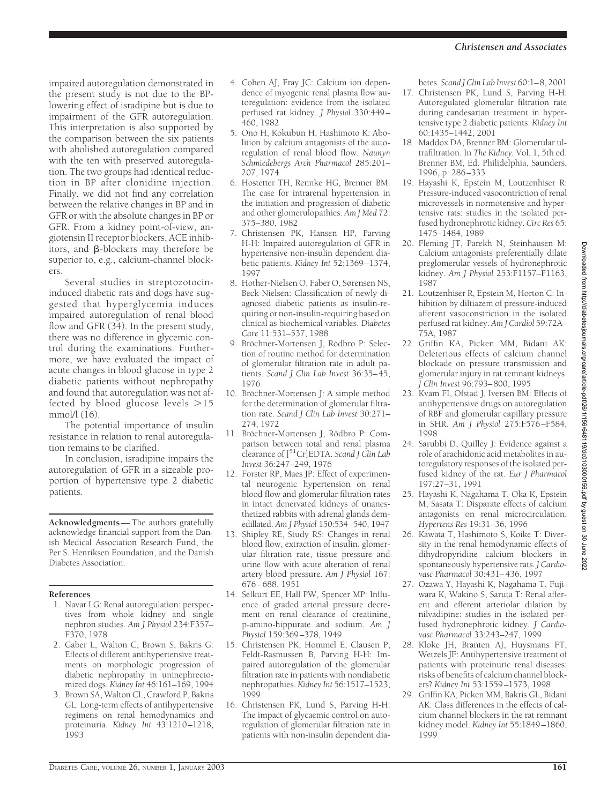impaired autoregulation demonstrated in the present study is not due to the BPlowering effect of isradipine but is due to impairment of the GFR autoregulation. This interpretation is also supported by the comparison between the six patients with abolished autoregulation compared with the ten with preserved autoregulation. The two groups had identical reduction in BP after clonidine injection. Finally, we did not find any correlation between the relative changes in BP and in GFR or with the absolute changes in BP or GFR. From a kidney point-of-view, angiotensin II receptor blockers, ACE inhibitors, and  $\beta$ -blockers may therefore be superior to, e.g., calcium-channel blockers.

Several studies in streptozotocininduced diabetic rats and dogs have suggested that hyperglycemia induces impaired autoregulation of renal blood flow and GFR (34). In the present study, there was no difference in glycemic control during the examinations. Furthermore, we have evaluated the impact of acute changes in blood glucose in type 2 diabetic patients without nephropathy and found that autoregulation was not affected by blood glucose levels  $>15$ mmol $/$ l (16).

The potential importance of insulin resistance in relation to renal autoregulation remains to be clarified.

In conclusion, isradipine impairs the autoregulation of GFR in a sizeable proportion of hypertensive type 2 diabetic patients.

**Acknowledgments**— The authors gratefully acknowledge financial support from the Danish Medical Association Research Fund, the Per S. Henriksen Foundation, and the Danish Diabetes Association.

### **References**

- 1. Navar LG: Renal autoregulation: perspectives from whole kidney and single nephron studies*. Am J Physiol* 234:F357– F370, 1978
- 2. Gaber L, Walton C, Brown S, Bakris G: Effects of different antihypertensive treatments on morphologic progression of diabetic nephropathy in uninephrectomized dogs. *Kidney Int* 46:161–169, 1994
- 3. Brown SA, Walton CL, Crawford P, Bakris GL: Long-term effects of antihypertensive regimens on renal hemodynamics and proteinuria*. Kidney Int* 43:1210–1218, 1993
- 4. Cohen AJ, Fray JC: Calcium ion dependence of myogenic renal plasma flow autoregulation: evidence from the isolated perfused rat kidney. *J Physiol* 330:449– 460, 1982
- 5. Ono H, Kokubun H, Hashimoto K: Abolition by calcium antagonists of the autoregulation of renal blood flow*. Naunyn Schmiedebergs Arch Pharmacol* 285:201– 207, 1974
- 6. Hostetter TH, Rennke HG, Brenner BM: The case for intrarenal hypertension in the initiation and progression of diabetic and other glomerulopathies. *Am J Med* 72: 375–380, 1982
- 7. Christensen PK, Hansen HP, Parving H-H: Impaired autoregulation of GFR in hypertensive non-insulin dependent diabetic patients. *Kidney Int* 52:1369–1374, 1997
- 8. Hother-Nielsen O, Faber O, Sørensen NS, Beck-Nielsen: Classification of newly diagnosed diabetic patients as insulin-requiring or non-insulin-requiring based on clinical as biochemical variables. *Diabetes Care* 11:531–537, 1988
- 9. Bröchner-Mortensen J, Rödbro P: Selection of routine method for determination of glomerular filtration rate in adult patients. *Scand J Clin Lab Invest* 36:35–45, 1976
- 10. Bröchner-Mortensen J: A simple method for the determination of glomerular filtration rate. *Scand J Clin Lab Invest* 30:271– 274, 1972
- 11. Bröchner-Mortensen J, Rödbro P: Comparison between total and renal plasma clearance of [51Cr]EDTA. *Scand J Clin Lab Invest* 36:247–249, 1976
- 12. Forster RP, Maes JP: Effect of experimental neurogenic hypertension on renal blood flow and glomerular filtration rates in intact denervated kidneys of unanesthetized rabbits with adrenal glands demedillated. *Am J Physiol* 150:534–540, 1947
- 13. Shipley RE, Study RS: Changes in renal blood flow, extraction of insulin, glomerular filtration rate, tissue pressure and urine flow with acute alteration of renal artery blood pressure. *Am J Physiol* 167: 676–688, 1951
- 14. Selkurt EE, Hall PW, Spencer MP: Influence of graded arterial pressure decrement on renal clearance of creatinine, p-amino-hippurate and sodium. *Am J Physiol* 159:369–378, 1949
- 15. Christensen PK, Hommel E, Clausen P, Feldt-Rasmussen B, Parving H-H: Impaired autoregulation of the glomerular filtration rate in patients with nondiabetic nephropathies. *Kidney Int* 56:1517–1523, 1999
- 16. Christensen PK, Lund S, Parving H-H: The impact of glycaemic control on autoregulation of glomerular filtration rate in patients with non-insulin dependent dia-

betes. *Scand J Clin Lab Invest* 60:1–8, 2001

- 17. Christensen PK, Lund S, Parving H-H: Autoregulated glomerular filtration rate during candesartan treatment in hypertensive type 2 diabetic patients. *Kidney Int* 60:1435–1442, 2001
- 18. Maddox DA, Brenner BM: Glomerular ultrafiltration. In *The Kidney.* Vol. 1, 5th ed. Brenner BM, Ed. Philidelphia, Saunders, 1996, p. 286–333
- 19. Hayashi K, Epstein M, Loutzenhiser R: Pressure-induced vasocontriction of renal microvessels in normotensive and hypertensive rats: studies in the isolated perfused hydronephrotic kidney. *Circ Res* 65: 1475–1484, 1989
- 20. Fleming JT, Parekh N, Steinhausen M: Calcium antagonists preferentially dilate preglomerular vessels of hydronephrotic kidney. *Am J Physiol* 253:F1157–F1163, 1987
- 21. Loutzenhiser R, Epstein M, Horton C: Inhibition by diltiazem of pressure-induced afferent vasoconstriction in the isolated perfused rat kidney. *Am J Cardiol* 59:72A– 75A, 1987
- 22. Griffin KA, Picken MM, Bidani AK: Deleterious effects of calcium channel blockade on pressure transmission and glomerular injury in rat remnant kidneys. *J Clin Invest* 96:793–800, 1995
- 23. Kvam FI, Ofstad J, Iversen BM: Effects of antihypertensive drugs on autoregulation of RBF and glomerular capillary pressure in SHR. *Am J Physiol* 275:F576–F584, 1998
- 24. Sarubbi D, Quilley J: Evidence against a role of arachidonic acid metabolites in autoregulatory responses of the isolated perfused kidney of the rat. *Eur J Pharmacol* 197:27–31, 1991
- 25. Hayashi K, Nagahama T, Oka K, Epstein M, Sasata T: Disparate effects of calcium antagonists on renal microcirculation. *Hypertens Res* 19:31–36, 1996
- 26. Kawata T, Hashimoto S, Koike T: Diversity in the renal hemodynamic effects of dihydropyridine calcium blockers in spontaneously hypertensive rats. *J Cardiovasc Pharmacol* 30:431–436, 1997
- 27. Ozawa Y, Hayashi K, Nagahama T, Fujiwara K, Wakino S, Saruta T: Renal afferent and efferent arteriolar dilation by nilvadipine: studies in the isolated perfused hydronephrotic kidney. *J Cardiovasc Pharmacol* 33:243–247, 1999
- 28. Kloke JH, Branten AJ, Huysmans FT, Wetzels JF: Antihypertensive treatment of patients with proteinuric renal diseases: risks of benefits of calcium channel blockers? *Kidney Int* 53:1559–1573, 1998
- 29. Griffin KA, Picken MM, Bakris GL, Bidani AK: Class differences in the effects of calcium channel blockers in the rat remnant kidney model. *Kidney Int* 55:1849–1860, 1999